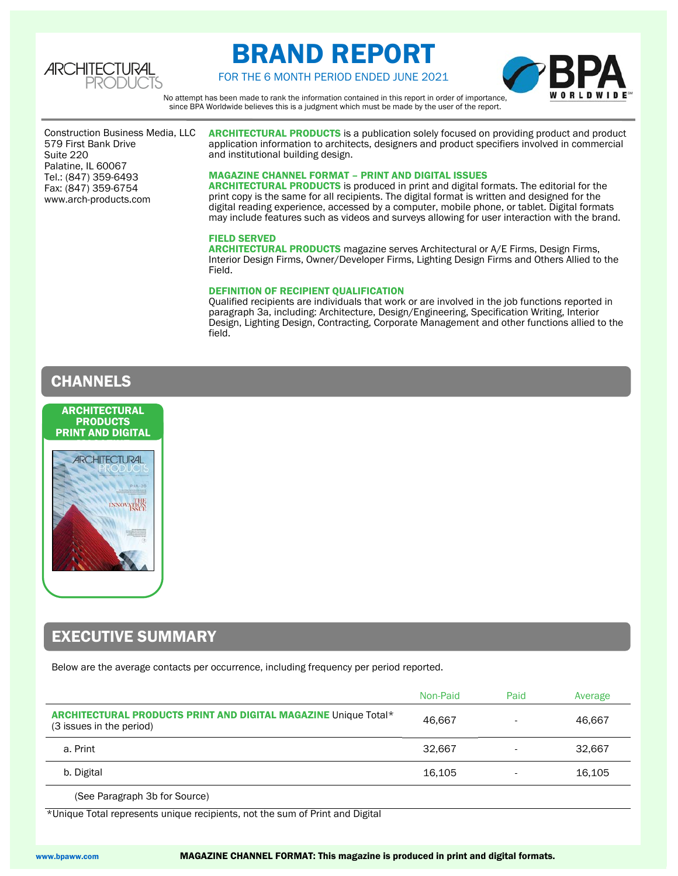

# BRAND REPORT



FOR THE 6 MONTH PERIOD ENDED JUNE 2021

No attempt has been made to rank the information contained in this report in order of importance, since BPA Worldwide believes this is a judgment which must be made by the user of the report.

579 First Bank Drive<br>Suite 220 Construction Business Media, LLC Suite 220 Palatine, IL 60067 Tel.: (847) 359-6493 Fax: (847) 359-6754 www.arch-products.com

ARCHITECTURAL PRODUCTS is a publication solely focused on providing product and product application information to architects, designers and product specifiers involved in commercial and institutional building design.

### MAGAZINE CHANNEL FORMAT – PRINT AND DIGITAL ISSUES

ARCHITECTURAL PRODUCTS is produced in print and digital formats. The editorial for the print copy is the same for all recipients. The digital format is written and designed for the digital reading experience, accessed by a computer, mobile phone, or tablet. Digital formats may include features such as videos and surveys allowing for user interaction with the brand.

### FIELD SERVED

ARCHITECTURAL PRODUCTS magazine serves Architectural or A/E Firms, Design Firms, Interior Design Firms, Owner/Developer Firms, Lighting Design Firms and Others Allied to the Field.

### DEFINITION OF RECIPIENT QUALIFICATION

Qualified recipients are individuals that work or are involved in the job functions reported in paragraph 3a, including: Architecture, Design/Engineering, Specification Writing, Interior Design, Lighting Design, Contracting, Corporate Management and other functions allied to the field.

### **CHANNELS**



## EXECUTIVE SUMMARY

Below are the average contacts per occurrence, including frequency per period reported.

|                                                                                             | Non-Paid | Paid | Average |
|---------------------------------------------------------------------------------------------|----------|------|---------|
| ARCHITECTURAL PRODUCTS PRINT AND DIGITAL MAGAZINE Unique Total*<br>(3 issues in the period) | 46.667   |      | 46.667  |
| a. Print                                                                                    | 32.667   |      | 32.667  |
| b. Digital                                                                                  | 16.105   |      | 16,105  |

(See Paragraph 3b for Source)

\*Unique Total represents unique recipients, not the sum of Print and Digital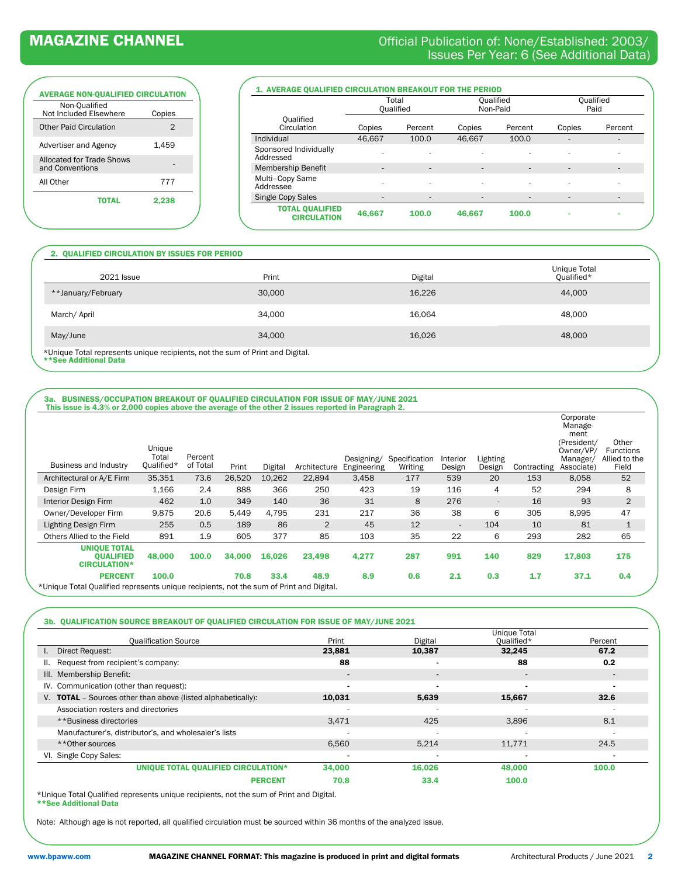### MAGAZINE CHANNEL **CHANNEL** CHANNEL CHANNEL CONSIDERITY Official Publication of: None/Established: 2003/ Issues Per Year: 6 (See Additional Data)

# AVERAGE NON-QUALIFIED CIRCULATION

| Non-Qualified<br>Not Included Elsewhere      | Copies |
|----------------------------------------------|--------|
| <b>Other Paid Circulation</b>                | 2      |
| Advertiser and Agency                        | 1.459  |
| Allocated for Trade Shows<br>and Conventions |        |
| All Other                                    | 777    |
| ΤΩΤΑΙ                                        | 2.238  |
|                                              |        |

| 1. AVERAGE QUALIFIED CIRCULATION BREAKOUT FOR THE PERIOD |                    |                          |                              |                              |                          |         |  |
|----------------------------------------------------------|--------------------|--------------------------|------------------------------|------------------------------|--------------------------|---------|--|
|                                                          | Total<br>Oualified |                          |                              | <b>Oualified</b><br>Non-Paid | <b>Oualified</b><br>Paid |         |  |
| <b>Oualified</b><br>Circulation                          | Copies             | Percent                  | Copies                       | Percent                      | Copies                   | Percent |  |
| Individual                                               | 46.667             | 100.0                    | 46,667                       | 100.0                        | ۰                        |         |  |
| Sponsored Individually<br>Addressed                      |                    | ۰                        | ۰                            |                              | ۰                        | ۰       |  |
| <b>Membership Benefit</b>                                |                    | ۰                        | $\qquad \qquad \blacksquare$ | $\qquad \qquad \blacksquare$ | ۰                        |         |  |
| Multi-Copy Same<br>Addressee                             |                    | ۰                        | ۰                            | ۰                            | ۰                        |         |  |
| <b>Single Copy Sales</b>                                 | -                  | $\overline{\phantom{a}}$ | -                            | -                            | ۰                        |         |  |
| <b>TOTAL QUALIFIED</b><br><b>CIRCULATION</b>             | 46,667             | 100.0                    | 46.667                       | 100.0                        | $\blacksquare$           |         |  |

### 2. QUALIFIED CIRCULATION BY ISSUES FOR PERIOD

| <b>2021 Issue</b>                                                                                      | Print  | Digital | Unique Total<br>Qualified* |
|--------------------------------------------------------------------------------------------------------|--------|---------|----------------------------|
| **January/February                                                                                     | 30,000 | 16,226  | 44.000                     |
| March/April                                                                                            | 34,000 | 16.064  | 48,000                     |
| May/June                                                                                               | 34,000 | 16,026  | 48,000                     |
| *Unique Total represents unique recipients, not the sum of Print and Digital.<br>cted Icanitibha go2** |        |         |                            |

\*\*See Additional Data

### 3a. BUSINESS/OCCUPATION BREAKOUT OF QUALIFIED CIRCULATION FOR ISSUE OF MAY/JUNE 2021

| Business and Industry                                                                   | Unique<br>Total<br>Qualified* | Percent<br>of Total | Print  | Digital | Architecture | Designing/<br>Engineering | Specification<br>Writing | Interior<br>Design       | Lighting<br>Design | Contracting | Corporate<br>Manage-<br>ment<br>(President/<br>Owner/VP/<br>Manager/<br>Associate) | Other<br>Functions<br>Allied to the<br>Field |
|-----------------------------------------------------------------------------------------|-------------------------------|---------------------|--------|---------|--------------|---------------------------|--------------------------|--------------------------|--------------------|-------------|------------------------------------------------------------------------------------|----------------------------------------------|
| Architectural or A/E Firm                                                               | 35,351                        | 73.6                | 26,520 | 10,262  | 22,894       | 3,458                     | 177                      | 539                      | 20                 | 153         | 8,058                                                                              | 52                                           |
| Design Firm                                                                             | 1,166                         | 2.4                 | 888    | 366     | 250          | 423                       | 19                       | 116                      | 4                  | 52          | 294                                                                                | 8                                            |
| <b>Interior Design Firm</b>                                                             | 462                           | 1.0                 | 349    | 140     | 36           | 31                        | 8                        | 276                      | $\sim$             | 16          | 93                                                                                 | $\overline{2}$                               |
| Owner/Developer Firm                                                                    | 9,875                         | 20.6                | 5,449  | 4,795   | 231          | 217                       | 36                       | 38                       | 6                  | 305         | 8,995                                                                              | 47                                           |
| <b>Lighting Design Firm</b>                                                             | 255                           | 0.5                 | 189    | 86      | 2            | 45                        | 12                       | $\overline{\phantom{a}}$ | 104                | 10          | 81                                                                                 | $\mathbf{1}$                                 |
| Others Allied to the Field                                                              | 891                           | 1.9                 | 605    | 377     | 85           | 103                       | 35                       | 22                       | 6                  | 293         | 282                                                                                | 65                                           |
| <b>UNIQUE TOTAL</b><br><b>OUALIFIED</b><br><b>CIRCULATION*</b>                          | 48.000                        | 100.0               | 34,000 | 16,026  | 23,498       | 4,277                     | 287                      | 991                      | 140                | 829         | 17,803                                                                             | 175                                          |
| <b>PERCENT</b>                                                                          | 100.0                         |                     | 70.8   | 33.4    | 48.9         | 8.9                       | 0.6                      | 2.1                      | 0.3                | 1.7         | 37.1                                                                               | 0.4                                          |
| *Unique Total Qualified represents unique recipients, not the sum of Print and Digital. |                               |                     |        |         |              |                           |                          |                          |                    |             |                                                                                    |                                              |

### 3b. QUALIFICATION SOURCE BREAKOUT OF QUALIFIED CIRCULATION FOR ISSUE OF MAY/JUNE 2021

|                                                                     |        |         | <b>Unique Total</b> |         |
|---------------------------------------------------------------------|--------|---------|---------------------|---------|
| <b>Qualification Source</b>                                         | Print  | Digital | Qualified*          | Percent |
| Direct Request:<br>I.,                                              | 23,881 | 10,387  | 32.245              | 67.2    |
| Request from recipient's company:<br>Ш.                             | 88     |         | 88                  | 0.2     |
| III. Membership Benefit:                                            |        |         | $\blacksquare$      |         |
| IV. Communication (other than request):                             |        |         | -                   |         |
| V. <b>TOTAL</b> - Sources other than above (listed alphabetically): | 10,031 | 5,639   | 15,667              | 32.6    |
| Association rosters and directories                                 |        |         |                     |         |
| **Business directories                                              | 3,471  | 425     | 3,896               | 8.1     |
| Manufacturer's, distributor's, and wholesaler's lists               |        |         |                     |         |
| **Other sources                                                     | 6,560  | 5,214   | 11,771              | 24.5    |
| VI. Single Copy Sales:                                              |        |         |                     |         |
| UNIQUE TOTAL QUALIFIED CIRCULATION*                                 | 34,000 | 16,026  | 48,000              | 100.0   |
| <b>PERCENT</b>                                                      | 70.8   | 33.4    | 100.0               |         |

\*Unique Total Qualified represents unique recipients, not the sum of Print and Digital. \*\*See Additional Data

Note: Although age is not reported, all qualified circulation must be sourced within 36 months of the analyzed issue.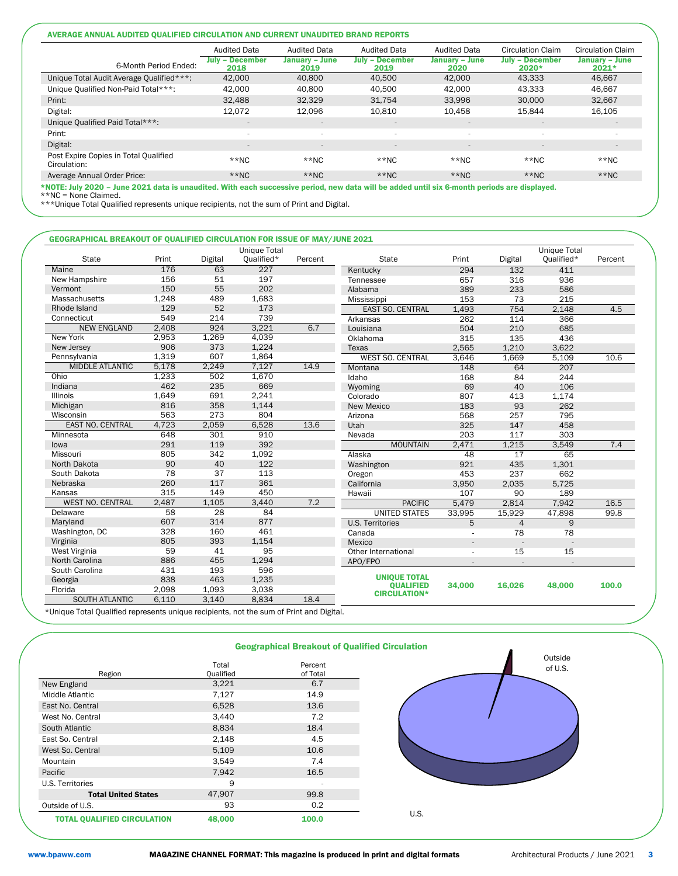### AVERAGE ANNUAL AUDITED QUALIFIED CIRCULATION AND CURRENT UNAUDITED BRAND REPORTS

| 6-Month Period Ended:                                 | <b>Audited Data</b><br>- December<br>July<br>2018 | <b>Audited Data</b><br>January - June<br>2019 | <b>Audited Data</b><br><b>July - December</b><br>2019 | <b>Audited Data</b><br>January - June<br>2020 | <b>Circulation Claim</b><br><b>July - December</b><br>2020* | <b>Circulation Claim</b><br>January - June<br>$2021*$ |
|-------------------------------------------------------|---------------------------------------------------|-----------------------------------------------|-------------------------------------------------------|-----------------------------------------------|-------------------------------------------------------------|-------------------------------------------------------|
| Unique Total Audit Average Qualified***:              | 42,000                                            | 40,800                                        | 40,500                                                | 42.000                                        | 43.333                                                      | 46.667                                                |
| Unique Qualified Non-Paid Total***:                   | 42.000                                            | 40,800                                        | 40,500                                                | 42.000                                        | 43.333                                                      | 46,667                                                |
| Print:                                                | 32.488                                            | 32,329                                        | 31.754                                                | 33,996                                        | 30,000                                                      | 32,667                                                |
| Digital:                                              | 12.072                                            | 12,096                                        | 10.810                                                | 10,458                                        | 15.844                                                      | 16,105                                                |
| Unique Qualified Paid Total***:                       | $\overline{\phantom{a}}$                          | $\qquad \qquad \blacksquare$                  | $\overline{\phantom{a}}$                              | $\overline{\phantom{a}}$                      | $\overline{\phantom{a}}$                                    | $\overline{\phantom{a}}$                              |
| Print:                                                |                                                   |                                               | $\overline{\phantom{a}}$                              | $\overline{\phantom{a}}$                      | $\sim$                                                      |                                                       |
| Digital:                                              | $\sim$                                            | $\qquad \qquad \blacksquare$                  | $\overline{\phantom{a}}$                              | $\overline{a}$                                | $\overline{\phantom{a}}$                                    | $\sim$                                                |
| Post Expire Copies in Total Qualified<br>Circulation: | $**NC$                                            | $**NC$                                        | $*$ NC                                                | $*$ NC                                        | $*$ NC                                                      | $**NC$                                                |
| Average Annual Order Price:                           | $**NC$                                            | $**NC$                                        | $*$ NC                                                | $*$ NC                                        | $*$ NC                                                      | $**NC$                                                |

\*NOTE: July 2020 – June 2021 data is unaudited. With each successive period, new data will be added until six 6-month periods are displayed. \*\*NC = None Claimed.

\*\*\*Unique Total Qualified represents unique recipients, not the sum of Print and Digital.

#### GEOGRAPHICAL BREAKOUT OF QUALIFIED CIRCULATION FOR ISSUE OF MAY/JUNE 2021

|                         |                 |                 | Unique Total |         |                                         |                          |                | <b>Unique Total</b> |         |
|-------------------------|-----------------|-----------------|--------------|---------|-----------------------------------------|--------------------------|----------------|---------------------|---------|
| <b>State</b>            | Print           | Digital         | Qualified*   | Percent | <b>State</b>                            | Print                    | Digital        | Qualified*          | Percent |
| Maine                   | 176             | 63              | 227          |         | Kentucky                                | 294                      | 132            | 411                 |         |
| New Hampshire           | 156             | 51              | 197          |         | Tennessee                               | 657                      | 316            | 936                 |         |
| Vermont                 | 150             | 55              | 202          |         | Alabama                                 | 389                      | 233            | 586                 |         |
| Massachusetts           | 1,248           | 489             | 1,683        |         | Mississippi                             | 153                      | 73             | 215                 |         |
| Rhode Island            | 129             | 52              | 173          |         | <b>EAST SO. CENTRAL</b>                 | 1,493                    | 754            | 2.148               | 4.5     |
| Connecticut             | 549             | 214             | 739          |         | Arkansas                                | 262                      | 114            | 366                 |         |
| <b>NEW ENGLAND</b>      | 2,408           | 924             | 3,221        | 6.7     | Louisiana                               | 504                      | 210            | 685                 |         |
| New York                | 2,953           | 1,269           | 4,039        |         | Oklahoma                                | 315                      | 135            | 436                 |         |
| New Jersey              | 906             | 373             | 1,224        |         | Texas                                   | 2,565                    | 1.210          | 3,622               |         |
| Pennsylvania            | 1,319           | 607             | 1,864        |         | <b>WEST SO. CENTRAL</b>                 | 3,646                    | 1,669          | 5.109               | 10.6    |
| <b>MIDDLE ATLANTIC</b>  | 5,178           | 2,249           | 7,127        | 14.9    | Montana                                 | 148                      | 64             | 207                 |         |
| Ohio                    | 1,233           | 502             | 1,670        |         | Idaho                                   | 168                      | 84             | 244                 |         |
| Indiana                 | 462             | 235             | 669          |         | Wyoming                                 | 69                       | 40             | 106                 |         |
| <b>Illinois</b>         | 1,649           | 691             | 2,241        |         | Colorado                                | 807                      | 413            | 1,174               |         |
| Michigan                | 816             | 358             | 1,144        |         | New Mexico                              | 183                      | 93             | 262                 |         |
| Wisconsin               | 563             | 273             | 804          |         | Arizona                                 | 568                      | 257            | 795                 |         |
| <b>EAST NO. CENTRAL</b> | 4,723           | 2,059           | 6,528        | 13.6    | Utah                                    | 325                      | 147            | 458                 |         |
| Minnesota               | 648             | 301             | 910          |         | Nevada                                  | 203                      | 117            | 303                 |         |
| lowa                    | 291             | 119             | 392          |         | <b>MOUNTAIN</b>                         | 2,471                    | 1.215          | 3,549               | 7.4     |
| Missouri                | 805             | 342             | 1,092        |         | Alaska                                  | 48                       | 17             | 65                  |         |
| North Dakota            | 90              | 40              | 122          |         | Washington                              | 921                      | 435            | 1,301               |         |
| South Dakota            | 78              | 37              | 113          |         | Oregon                                  | 453                      | 237            | 662                 |         |
| Nebraska                | 260             | 117             | 361          |         | California                              | 3,950                    | 2,035          | 5,725               |         |
| Kansas                  | 315             | 149             | 450          |         | Hawaii                                  | 107                      | 90             | 189                 |         |
| <b>WEST NO. CENTRAL</b> | 2,487           | 1,105           | 3,440        | 7.2     | <b>PACIFIC</b>                          | 5,479                    | 2,814          | 7,942               | 16.5    |
| Delaware                | $\overline{58}$ | $\overline{28}$ | 84           |         | <b>UNITED STATES</b>                    | 33,995                   | 15,929         | 47,898              | 99.8    |
| Maryland                | 607             | 314             | 877          |         | <b>U.S. Territories</b>                 | 5                        | $\overline{4}$ | 9                   |         |
| Washington, DC          | 328             | 160             | 461          |         | Canada                                  |                          | 78             | 78                  |         |
| Virginia                | 805             | 393             | 1,154        |         | Mexico                                  | $\overline{\phantom{a}}$ | $\sim$         |                     |         |
| West Virginia           | 59              | 41              | 95           |         | Other International                     | ÷.                       | 15             | 15                  |         |
| North Carolina          | 886             | 455             | 1,294        |         | APO/FPO                                 | $\overline{\phantom{a}}$ |                |                     |         |
| South Carolina          | 431             | 193             | 596          |         |                                         |                          |                |                     |         |
| Georgia                 | 838             | 463             | 1,235        |         | <b>UNIQUE TOTAL</b>                     |                          |                |                     |         |
| Florida                 | 2,098           | 1,093           | 3,038        |         | <b>OUALIFIED</b><br><b>CIRCULATION*</b> | 34,000                   | 16.026         | 48,000              | 100.0   |
| <b>SOUTH ATLANTIC</b>   | 6.110           | 3.140           | 8.834        | 18.4    |                                         |                          |                |                     |         |

\*Unique Total Qualified represents unique recipients, not the sum of Print and Digital.